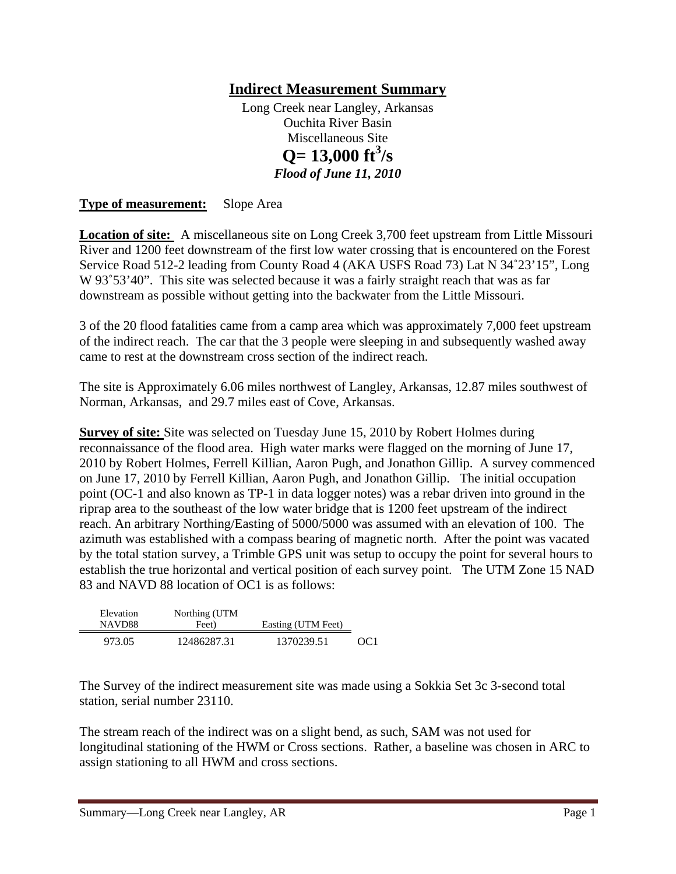## **Indirect Measurement Summary**

Long Creek near Langley, Arkansas Ouchita River Basin Miscellaneous Site  $Q = 13,000 \text{ ft}^3/\text{s}$ *Flood of June 11, 2010* 

**Type of measurement:** Slope Area

**Location of site:** A miscellaneous site on Long Creek 3,700 feet upstream from Little Missouri River and 1200 feet downstream of the first low water crossing that is encountered on the Forest Service Road 512-2 leading from County Road 4 (AKA USFS Road 73) Lat N 34˚23'15", Long W 93°53'40". This site was selected because it was a fairly straight reach that was as far downstream as possible without getting into the backwater from the Little Missouri.

3 of the 20 flood fatalities came from a camp area which was approximately 7,000 feet upstream of the indirect reach. The car that the 3 people were sleeping in and subsequently washed away came to rest at the downstream cross section of the indirect reach.

The site is Approximately 6.06 miles northwest of Langley, Arkansas, 12.87 miles southwest of Norman, Arkansas, and 29.7 miles east of Cove, Arkansas.

**Survey of site:** Site was selected on Tuesday June 15, 2010 by Robert Holmes during reconnaissance of the flood area. High water marks were flagged on the morning of June 17, 2010 by Robert Holmes, Ferrell Killian, Aaron Pugh, and Jonathon Gillip. A survey commenced on June 17, 2010 by Ferrell Killian, Aaron Pugh, and Jonathon Gillip. The initial occupation point (OC-1 and also known as TP-1 in data logger notes) was a rebar driven into ground in the riprap area to the southeast of the low water bridge that is 1200 feet upstream of the indirect reach. An arbitrary Northing/Easting of 5000/5000 was assumed with an elevation of 100. The azimuth was established with a compass bearing of magnetic north. After the point was vacated by the total station survey, a Trimble GPS unit was setup to occupy the point for several hours to establish the true horizontal and vertical position of each survey point. The UTM Zone 15 NAD 83 and NAVD 88 location of OC1 is as follows:

| Elevation<br>NAVD88 | Northing (UTM<br>Feet) | Easting (UTM Feet) |     |
|---------------------|------------------------|--------------------|-----|
| 973.05              | 12486287.31            | 1370239.51         | OC1 |

The Survey of the indirect measurement site was made using a Sokkia Set 3c 3-second total station, serial number 23110.

The stream reach of the indirect was on a slight bend, as such, SAM was not used for longitudinal stationing of the HWM or Cross sections. Rather, a baseline was chosen in ARC to assign stationing to all HWM and cross sections.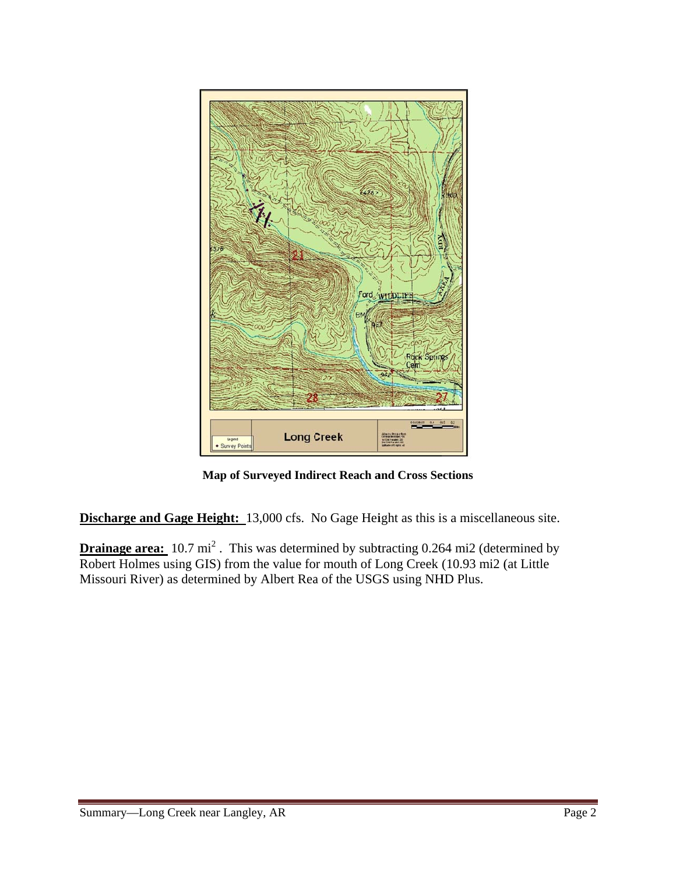

Map of Surveyed Indirect Reach and Cross Sections

**Discharge and Gage Height:** 13,000 cfs. No Gage Height as this is a miscellaneous site.

**Drainage area:**  $10.7 \text{ mi}^2$ . This was determined by subtracting 0.264 mi2 (determined by Robert Holmes using GIS) from the value for mouth of Long Creek (10.93 mi2 (at Little Missouri River) as determined by Albert Rea of the USGS using NHD Plus.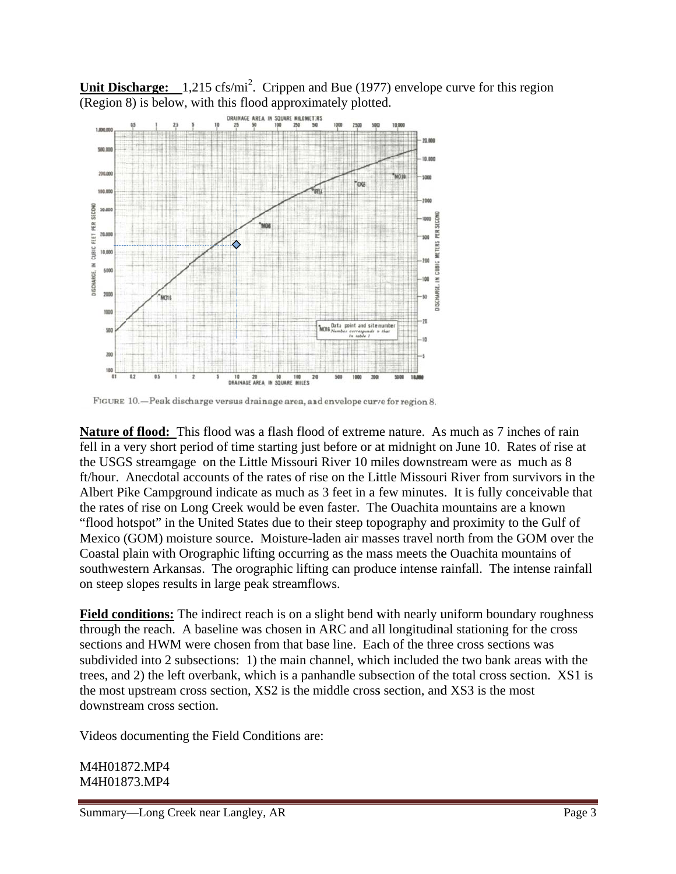Unit Discharge:  $1,215 \text{ cfs/mi}^2$ . Crippen and Bue (1977) envelope curve for this region (Region 8) is below, with this flood approximately plotted.



FIGURE 10. - Peak discharge versus drainage area, and envelope curve for region 8.

Nature of flood: This flood was a flash flood of extreme nature. As much as 7 inches of rain fell in a very short period of time starting just before or at midnight on June 10. Rates of rise at the USGS streamgage on the Little Missouri River 10 miles downstream were as much as 8 ft/hour. Anecdotal accounts of the rates of rise on the Little Missouri River from survivors in the Albert Pike Campground indicate as much as 3 feet in a few minutes. It is fully conceivable that the rates of rise on Long Creek would be even faster. The Quachita mountains are a known "flood hotspot" in the United States due to their steep topography and proximity to the Gulf of Mexico (GOM) moisture source. Moisture-laden air masses travel north from the GOM over the Coastal plain with Orographic lifting occurring as the mass meets the Quachita mountains of southwestern Arkansas. The orographic lifting can produce intense rainfall. The intense rainfall on steep slopes results in large peak streamflows.

**Field conditions:** The indirect reach is on a slight bend with nearly uniform boundary roughness through the reach. A baseline was chosen in ARC and all longitudinal stationing for the cross sections and HWM were chosen from that base line. Each of the three cross sections was subdivided into 2 subsections: 1) the main channel, which included the two bank areas with the trees, and 2) the left overbank, which is a panhandle subsection of the total cross section. XS1 is the most upstream cross section, XS2 is the middle cross section, and XS3 is the most downstream cross section.

Videos documenting the Field Conditions are:

M4H01872.MP4 M4H01873.MP4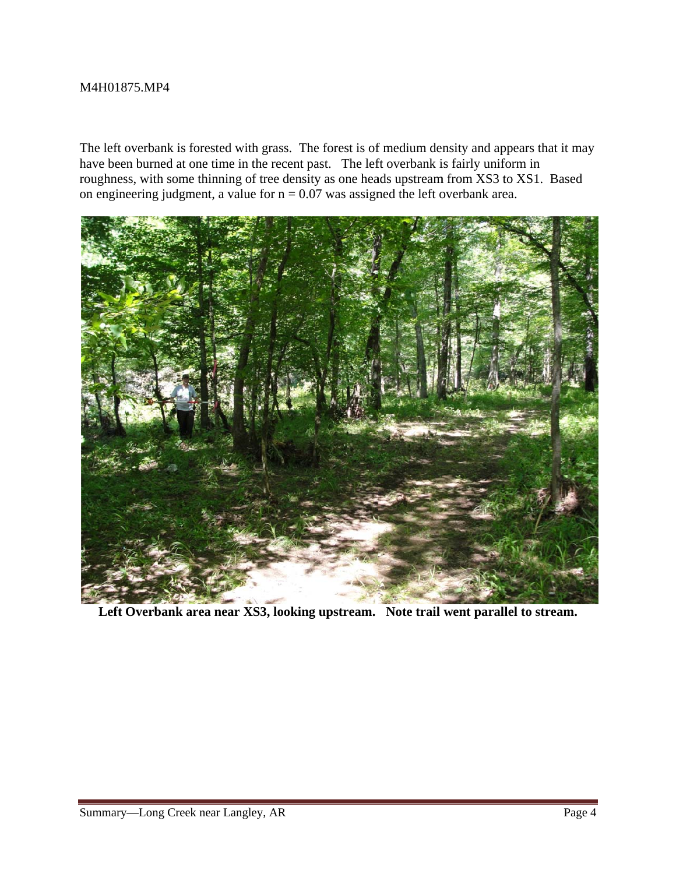#### M4H018 875.MP4

The left overbank is forested with grass. The forest is of medium density and appears that it may have been burned at one time in the recent past. The left overbank is fairly uniform in roughness, with some thinning of tree density as one heads upstream from XS3 to XS1. Based on engineering judgment, a value for  $n = 0.07$  was assigned the left overbank area.



Left Overbank area near XS3, looking upstream. Note trail went parallel to stream.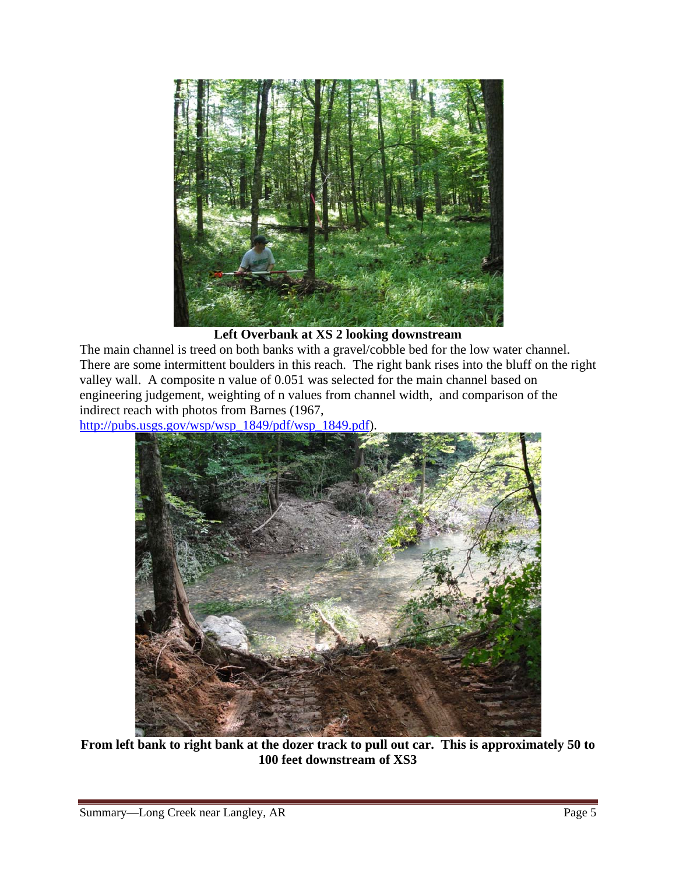

Left Overbank at **XS** 2 looking downstream

The main channel is treed on both banks with a gravel/cobble bed for the low water channel. There are some intermittent boulders in this reach. The right bank rises into the bluff on the right valley wall. A composite n value of 0.051 was selected for the main channel based on engineering judgement, weighting of n values from channel width, and comparison of the indirect reach with photos from Barnes (1967,

http://pubs.usgs.gov/wsp/wsp\_1849/pdf/wsp\_1849.pdf).



From left bank to right bank at the dozer track to pull out car. This is approximately 50 to 100 feet downstream of XS3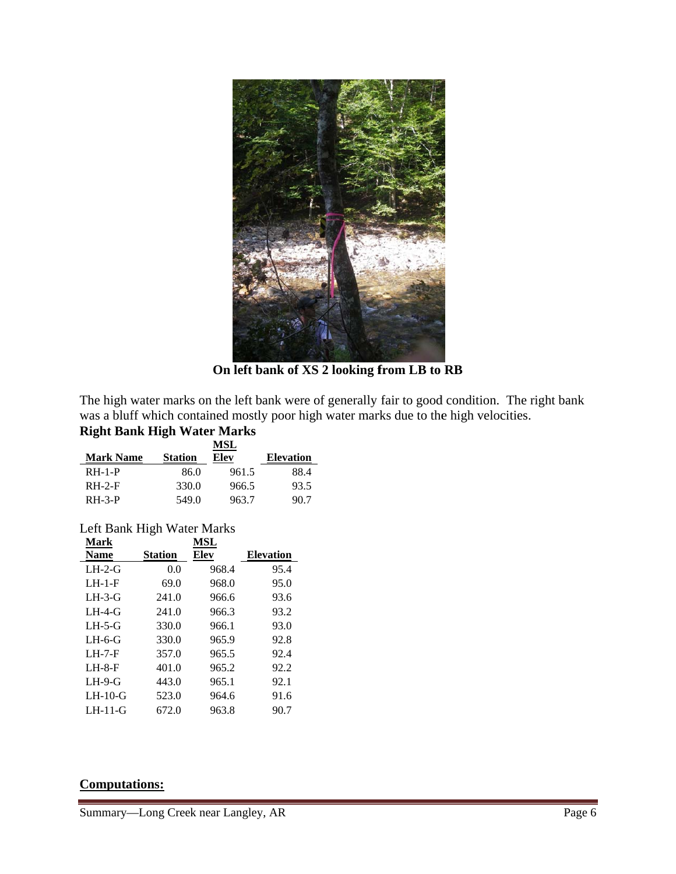

On left bank of XS 2 looking from LB to RB

The high water marks on the left bank were of generally fair to good condition. The right bank was a bluff which contained mostly poor high water marks due to the high velocities.

## **Right Bank High Water Marks**

|                  |                | MSL   |                  |
|------------------|----------------|-------|------------------|
| <b>Mark Name</b> | <b>Station</b> | Elev  | <b>Elevation</b> |
| $RH-1-P$         | 86.0           | 961.5 | 88.4             |
| $RH-2-F$         | 330.0          | 966.5 | 93.5             |
| $RH-3-P$         | 549.0          | 963.7 | 90.7             |

## Left Bank High Water Marks

| Mark        |                | MSL   |                  |
|-------------|----------------|-------|------------------|
| <b>Name</b> | <b>Station</b> | Elev  | <b>Elevation</b> |
| $LH-2-G$    | 0.0            | 968.4 | 95.4             |
| $LH-1-F$    | 69.0           | 968.0 | 95.0             |
| $LH-3-G$    | 241.0          | 966.6 | 93.6             |
| $LH-4-G$    | 241.0          | 966.3 | 93.2             |
| $LH-5-G$    | 330.0          | 966.1 | 93.0             |
| $LH-6-G$    | 330.0          | 965.9 | 92.8             |
| $LH-7-F$    | 357.0          | 965.5 | 92.4             |
| $LH-8-F$    | 401.0          | 965.2 | 92.2             |
| $LH-9-G$    | 443.0          | 965.1 | 92.1             |
| $LH-10-G$   | 523.0          | 964.6 | 91.6             |
| LH-11-G     | 672.0          | 963.8 | 90.7             |

#### **Computations:**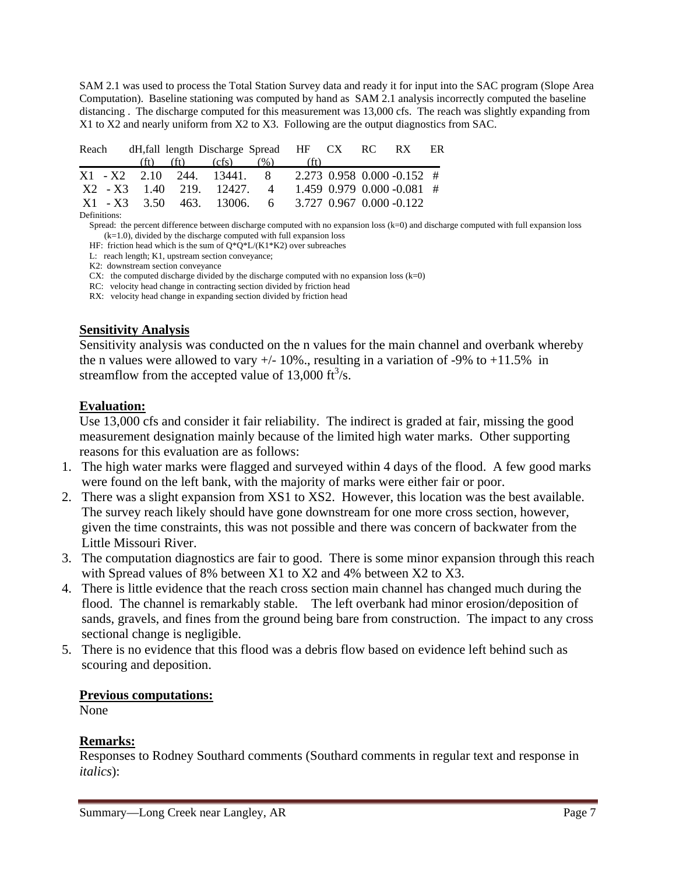SAM 2.1 was used to process the Total Station Survey data and ready it for input into the SAC program (Slope Area Computation). Baseline stationing was computed by hand as SAM 2.1 analysis incorrectly computed the baseline distancing . The discharge computed for this measurement was 13,000 cfs. The reach was slightly expanding from X1 to X2 and nearly uniform from X2 to X3. Following are the output diagnostics from SAC.

|  | Reach dH, fall length Discharge Spread HF CX RC RX ER  |  |  |  |
|--|--------------------------------------------------------|--|--|--|
|  | (ft) (ft) (cfs) $(\% )$ (ft)                           |  |  |  |
|  | $X1 - X2$ 2.10 244, 13441, 8 2.273 0.958 0.000 0.152 # |  |  |  |
|  | X2 - X3 1.40 219 12427 4 1.459 0.979 0.000 -0.081 #    |  |  |  |
|  | $X1 - X3$ 3.50 463. 13006. 6 3.727 0.967 0.000 -0.122  |  |  |  |

Definitions:

Spread: the percent difference between discharge computed with no expansion loss (k=0) and discharge computed with full expansion loss (k=1.0), divided by the discharge computed with full expansion loss

HF: friction head which is the sum of  $O^*O^*L/(K1*K2)$  over subreaches

L: reach length; K1, upstream section conveyance;

K2: downstream section conveyance

CX: the computed discharge divided by the discharge computed with no expansion loss  $(k=0)$ 

RC: velocity head change in contracting section divided by friction head

RX: velocity head change in expanding section divided by friction head

#### **Sensitivity Analysis**

Sensitivity analysis was conducted on the n values for the main channel and overbank whereby the n values were allowed to vary  $+/-10\%$ ., resulting in a variation of -9% to  $+11.5\%$  in streamflow from the accepted value of  $13,000 \text{ ft}^3/\text{s}$ .

#### **Evaluation:**

Use 13,000 cfs and consider it fair reliability. The indirect is graded at fair, missing the good measurement designation mainly because of the limited high water marks. Other supporting reasons for this evaluation are as follows:

- 1. The high water marks were flagged and surveyed within 4 days of the flood. A few good marks were found on the left bank, with the majority of marks were either fair or poor.
- 2. There was a slight expansion from XS1 to XS2. However, this location was the best available. The survey reach likely should have gone downstream for one more cross section, however, given the time constraints, this was not possible and there was concern of backwater from the Little Missouri River.
- 3. The computation diagnostics are fair to good. There is some minor expansion through this reach with Spread values of 8% between X1 to X2 and 4% between X2 to X3.
- 4. There is little evidence that the reach cross section main channel has changed much during the flood. The channel is remarkably stable. The left overbank had minor erosion/deposition of sands, gravels, and fines from the ground being bare from construction. The impact to any cross sectional change is negligible.
- 5. There is no evidence that this flood was a debris flow based on evidence left behind such as scouring and deposition.

#### **Previous computations:**

None

#### **Remarks:**

Responses to Rodney Southard comments (Southard comments in regular text and response in *italics*):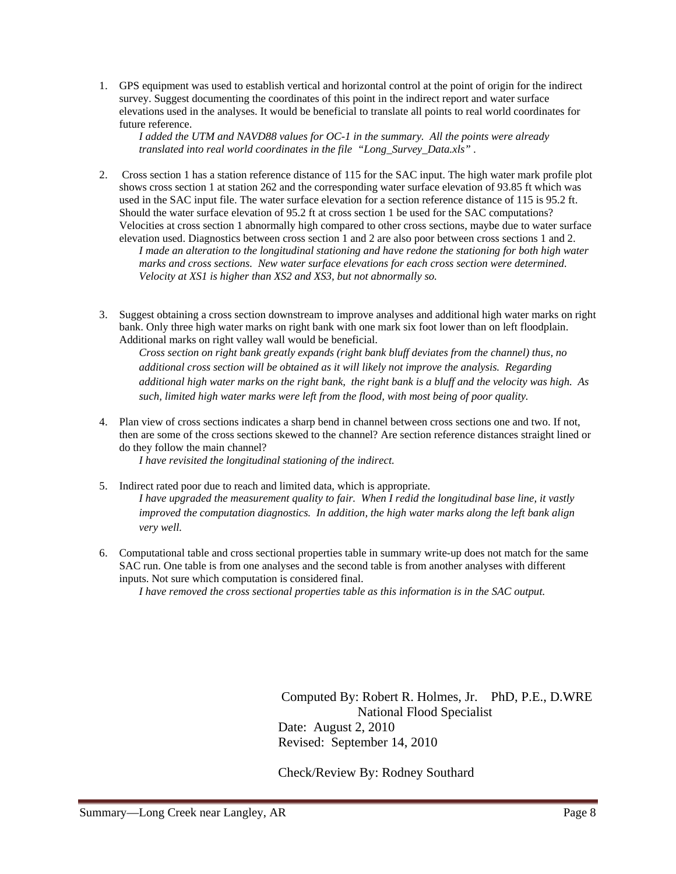1. GPS equipment was used to establish vertical and horizontal control at the point of origin for the indirect survey. Suggest documenting the coordinates of this point in the indirect report and water surface elevations used in the analyses. It would be beneficial to translate all points to real world coordinates for future reference.

*I added the UTM and NAVD88 values for OC-1 in the summary. All the points were already translated into real world coordinates in the file "Long\_Survey\_Data.xls" .* 

2. Cross section 1 has a station reference distance of 115 for the SAC input. The high water mark profile plot shows cross section 1 at station 262 and the corresponding water surface elevation of 93.85 ft which was used in the SAC input file. The water surface elevation for a section reference distance of 115 is 95.2 ft. Should the water surface elevation of 95.2 ft at cross section 1 be used for the SAC computations? Velocities at cross section 1 abnormally high compared to other cross sections, maybe due to water surface elevation used. Diagnostics between cross section 1 and 2 are also poor between cross sections 1 and 2.

*I made an alteration to the longitudinal stationing and have redone the stationing for both high water marks and cross sections. New water surface elevations for each cross section were determined. Velocity at XS1 is higher than XS2 and XS3, but not abnormally so.* 

3. Suggest obtaining a cross section downstream to improve analyses and additional high water marks on right bank. Only three high water marks on right bank with one mark six foot lower than on left floodplain. Additional marks on right valley wall would be beneficial.

*Cross section on right bank greatly expands (right bank bluff deviates from the channel) thus, no additional cross section will be obtained as it will likely not improve the analysis. Regarding additional high water marks on the right bank, the right bank is a bluff and the velocity was high. As such, limited high water marks were left from the flood, with most being of poor quality.* 

4. Plan view of cross sections indicates a sharp bend in channel between cross sections one and two. If not, then are some of the cross sections skewed to the channel? Are section reference distances straight lined or do they follow the main channel?

*I have revisited the longitudinal stationing of the indirect.* 

- 5. Indirect rated poor due to reach and limited data, which is appropriate. *I have upgraded the measurement quality to fair. When I redid the longitudinal base line, it vastly improved the computation diagnostics. In addition, the high water marks along the left bank align very well.*
- 6. Computational table and cross sectional properties table in summary write-up does not match for the same SAC run. One table is from one analyses and the second table is from another analyses with different inputs. Not sure which computation is considered final.

*I have removed the cross sectional properties table as this information is in the SAC output.* 

 Computed By: Robert R. Holmes, Jr. PhD, P.E., D.WRE National Flood Specialist Date: August 2, 2010 Revised: September 14, 2010

Check/Review By: Rodney Southard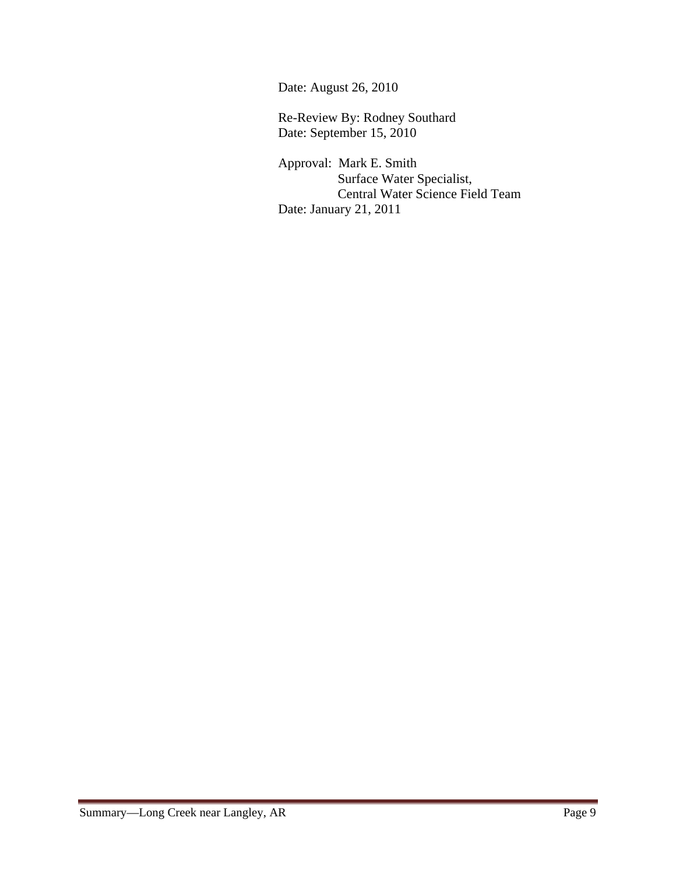Date: August 26, 2010

 Re-Review By: Rodney Southard Date: September 15, 2010

> Approval: Mark E. Smith Surface Water Specialist, Central Water Science Field Team Date: January 21, 2011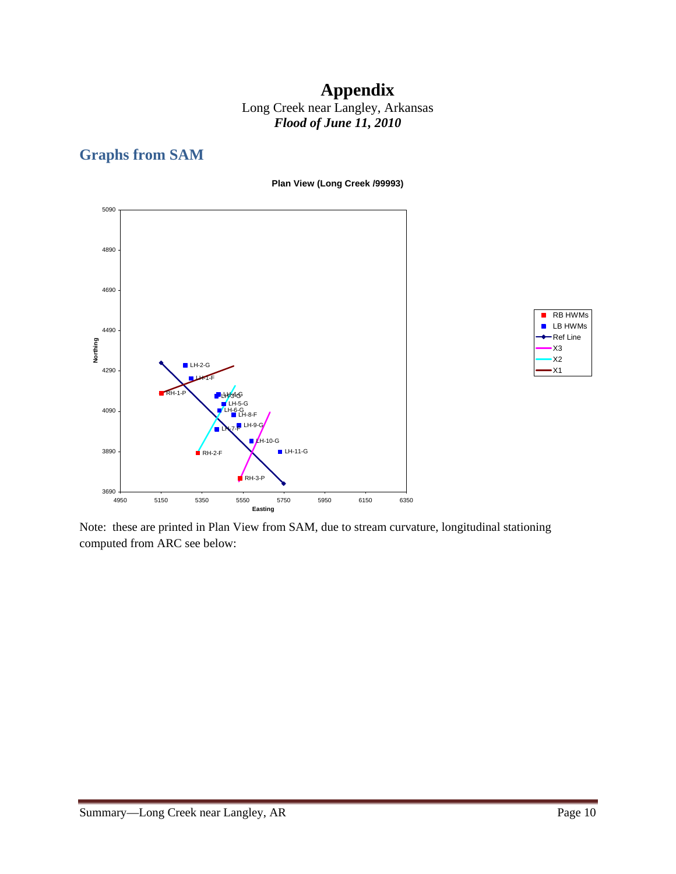## **Appendix**  Long Creek near Langley, Arkansas *Flood of June 11, 2010*

# **Graphs from SAM**

**Plan View (Long Creek /99993)**





Note: these are printed in Plan View from SAM, due to stream curvature, longitudinal stationing computed from ARC see below: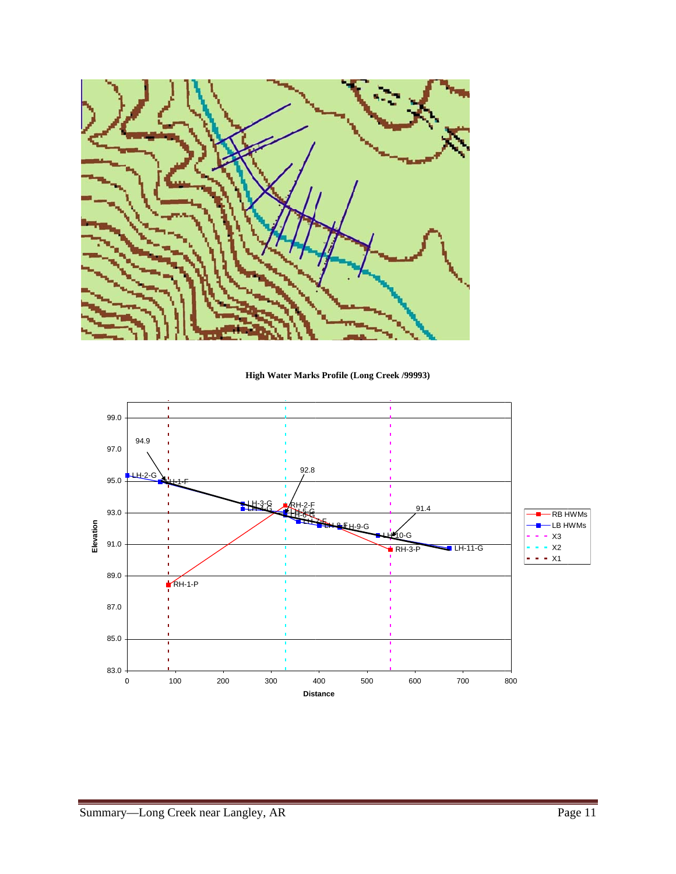

High Water Marks Profile (Long Creek /99993)

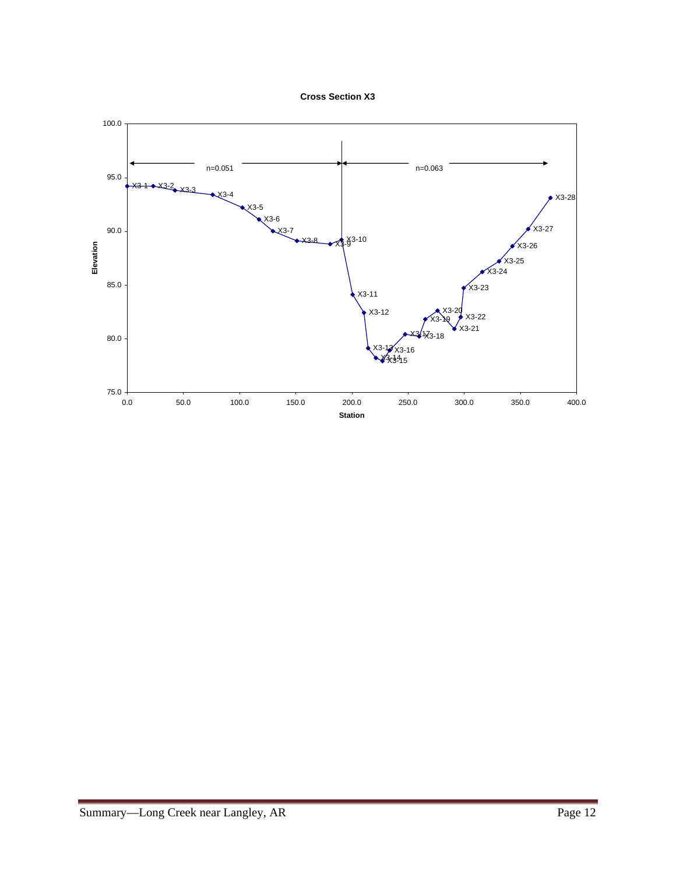

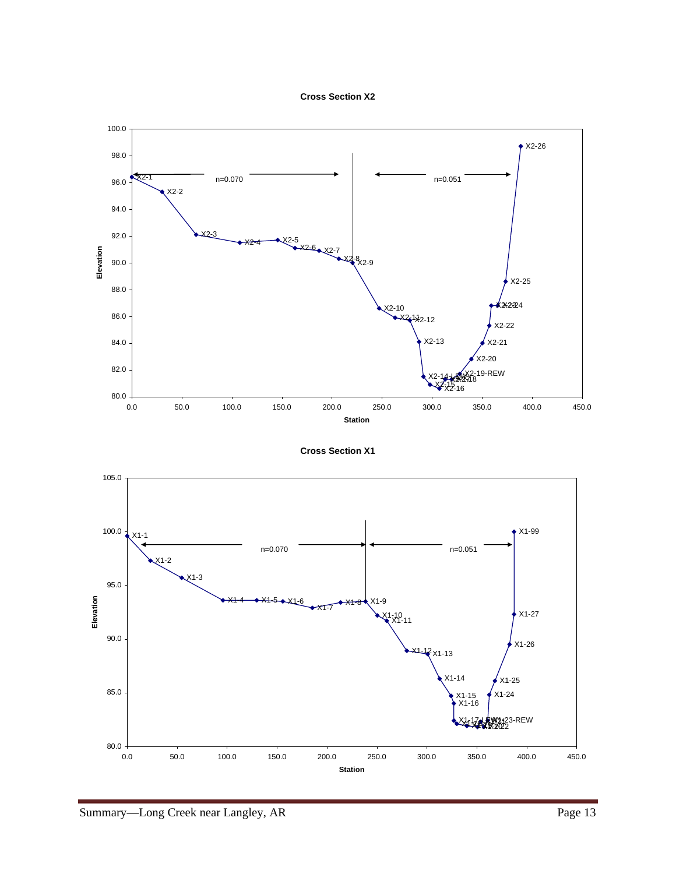



**Cross Section X1**

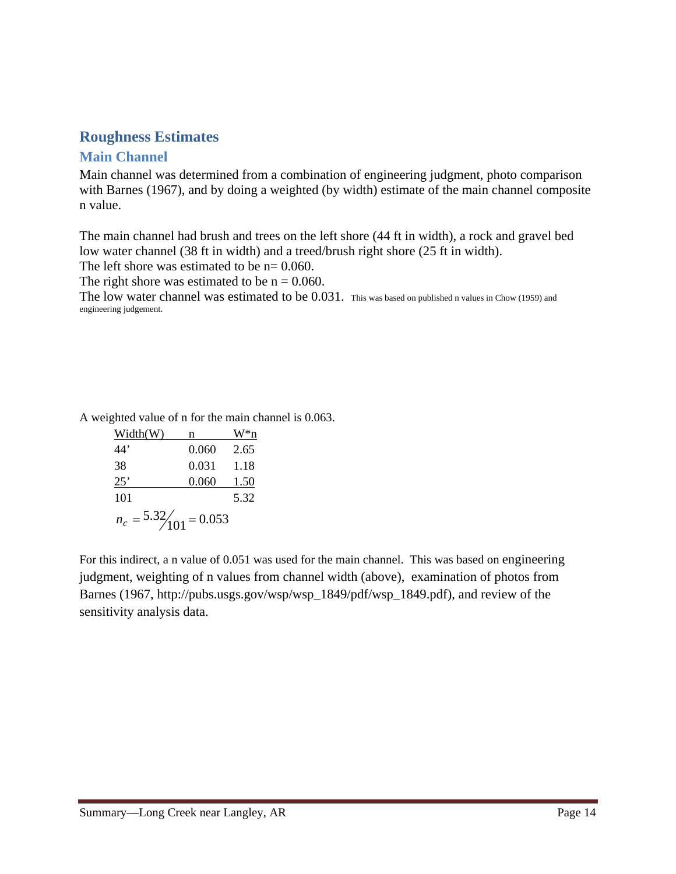## **Roughness Estimates**

### **Main Channel**

Main channel was determined from a combination of engineering judgment, photo comparison with Barnes (1967), and by doing a weighted (by width) estimate of the main channel composite n value.

The main channel had brush and trees on the left shore (44 ft in width), a rock and gravel bed low water channel (38 ft in width) and a treed/brush right shore (25 ft in width).

The left shore was estimated to be  $n=0.060$ .

The right shore was estimated to be  $n = 0.060$ .

The low water channel was estimated to be 0.031. This was based on published n values in Chow (1959) and engineering judgement.

A weighted value of n for the main channel is 0.063.

| Width(W)                 | n     |      |  |  |
|--------------------------|-------|------|--|--|
| 44'                      | 0.060 | 2.65 |  |  |
| 38                       | 0.031 | 1.18 |  |  |
| $25^{\circ}$             | 0.060 | 1.50 |  |  |
| 101                      |       | 5.32 |  |  |
| $n_c = 5.32/101 = 0.053$ |       |      |  |  |

For this indirect, a n value of 0.051 was used for the main channel. This was based on engineering judgment, weighting of n values from channel width (above), examination of photos from Barnes (1967, http://pubs.usgs.gov/wsp/wsp\_1849/pdf/wsp\_1849.pdf), and review of the sensitivity analysis data.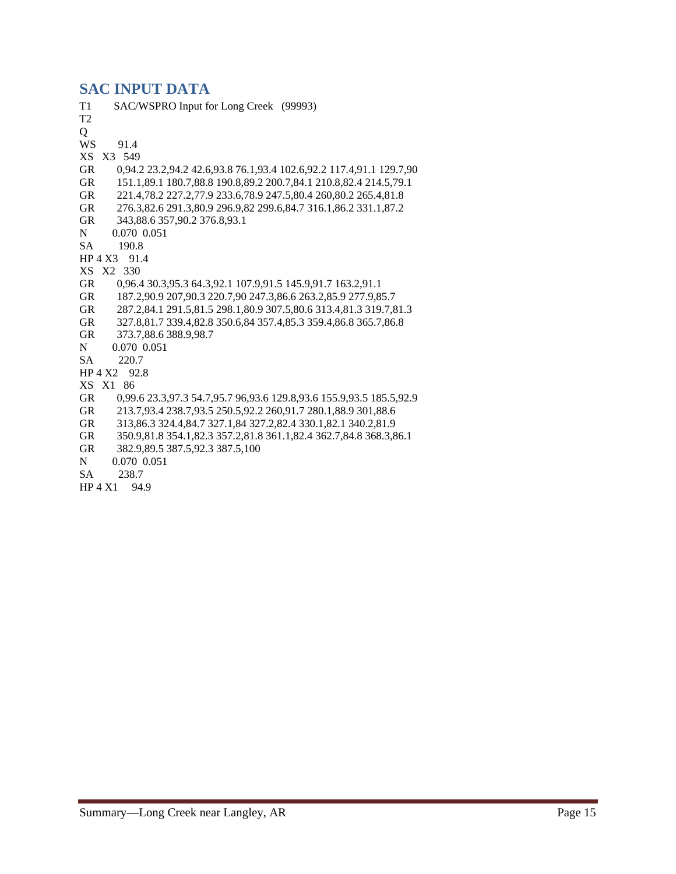## **SAC INPUT DATA**

| T <sub>1</sub> | SAC/WSPRO Input for Long Creek (99993)                              |
|----------------|---------------------------------------------------------------------|
| T <sub>2</sub> |                                                                     |
| Q              |                                                                     |
| <b>WS</b>      | 91.4                                                                |
| XS             | X3 549                                                              |
| <b>GR</b>      | 0,94.2 23.2,94.2 42.6,93.8 76.1,93.4 102.6,92.2 117.4,91.1 129.7,90 |
| <b>GR</b>      | 151.1,89.1 180.7,88.8 190.8,89.2 200.7,84.1 210.8,82.4 214.5,79.1   |
| <b>GR</b>      | 221.4,78.2 227.2,77.9 233.6,78.9 247.5,80.4 260,80.2 265.4,81.8     |
| <b>GR</b>      | 276.3,82.6 291.3,80.9 296.9,82 299.6,84.7 316.1,86.2 331.1,87.2     |
| <b>GR</b>      | 343,88.6 357,90.2 376.8,93.1                                        |
| N              | 0.070 0.051                                                         |
| <b>SA</b>      | 190.8                                                               |
| HP 4 X3        | 91.4                                                                |
|                | XS X2 330                                                           |
| <b>GR</b>      | 0,96.4 30.3,95.3 64.3,92.1 107.9,91.5 145.9,91.7 163.2,91.1         |
| <b>GR</b>      | 187.2,90.9 207,90.3 220.7,90 247.3,86.6 263.2,85.9 277.9,85.7       |
| <b>GR</b>      | 287.2,84.1 291.5,81.5 298.1,80.9 307.5,80.6 313.4,81.3 319.7,81.3   |
| <b>GR</b>      | 327.8,81.7 339.4,82.8 350.6,84 357.4,85.3 359.4,86.8 365.7,86.8     |
| <b>GR</b>      | 373.7,88.6 388.9,98.7                                               |
| N              | 0.070 0.051                                                         |
| <b>SA</b>      | 220.7                                                               |
| HP 4 X2        | 92.8                                                                |
|                | XS X1 86                                                            |
| <b>GR</b>      | 0,99.6 23.3,97.3 54.7,95.7 96,93.6 129.8,93.6 155.9,93.5 185.5,92.9 |
| <b>GR</b>      | 213.7,93.4 238.7,93.5 250.5,92.2 260,91.7 280.1,88.9 301,88.6       |
| <b>GR</b>      | 313,86.3 324.4,84.7 327.1,84 327.2,82.4 330.1,82.1 340.2,81.9       |
| <b>GR</b>      | 350.9,81.8 354.1,82.3 357.2,81.8 361.1,82.4 362.7,84.8 368.3,86.1   |
| <b>GR</b>      | 382.9,89.5 387.5,92.3 387.5,100                                     |
| N              | 0.070 0.051                                                         |
| <b>SA</b>      | 238.7                                                               |
| HP 4 X1        | 94.9                                                                |
|                |                                                                     |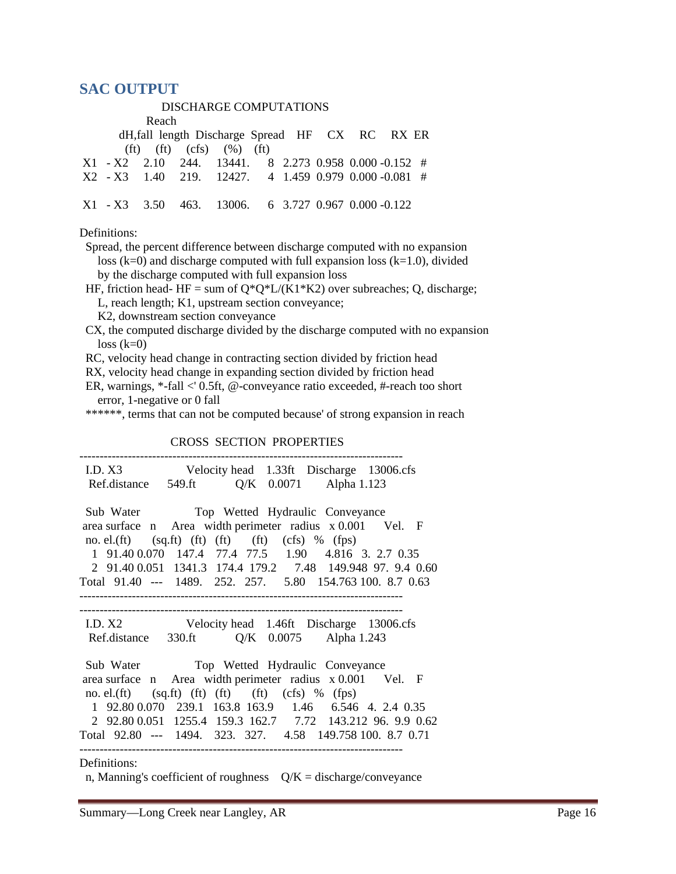### **SAC OUTPUT**

DISCHARGE COMPUTATIONS

 Reach dH,fall length Discharge Spread HF CX RC RX ER  $(ft)$   $(ft)$   $(cfs)$   $(\%)$   $(ft)$  X1 - X2 2.10 244. 13441. 8 2.273 0.958 0.000 -0.152 # X2 - X3 1.40 219. 12427. 4 1.459 0.979 0.000 -0.081 # X1 - X3 3.50 463. 13006. 6 3.727 0.967 0.000 -0.122 Definitions: Spread, the percent difference between discharge computed with no expansion loss  $(k=0)$  and discharge computed with full expansion loss  $(k=1.0)$ , divided by the discharge computed with full expansion loss HF, friction head- HF = sum of  $Q^*Q^*L/(K1*K2)$  over subreaches; Q, discharge; L, reach length; K1, upstream section conveyance; K2, downstream section conveyance

 CX, the computed discharge divided by the discharge computed with no expansion  $loss (k=0)$ 

RC, velocity head change in contracting section divided by friction head

RX, velocity head change in expanding section divided by friction head

 ER, warnings, \*-fall <' 0.5ft, @-conveyance ratio exceeded, #-reach too short error, 1-negative or 0 fall

\*\*\*\*\*\*, terms that can not be computed because' of strong expansion in reach

#### CROSS SECTION PROPERTIES

| I.D. X3 Velocity head 1.33ft Discharge 13006.cfs                                                                         |
|--------------------------------------------------------------------------------------------------------------------------|
| Ref.distance 549.ft Q/K 0.0071 Alpha 1.123                                                                               |
|                                                                                                                          |
| Sub Water Top Wetted Hydraulic Conveyance                                                                                |
| area surface n Area width perimeter radius x 0.001 Vel. F                                                                |
| no. el.(ft) $(sq.fit)$ (ft) (ft) (ft) (cfs) % (fps)                                                                      |
| 1 91.40 0.070 147.4 77.4 77.5 1.90 4.816 3. 2.7 0.35                                                                     |
| 2 91.40 0.051 1341.3 174.4 179.2 7.48 149.948 97. 9.4 0.60                                                               |
| Total 91.40 --- 1489. 252. 257. 5.80 154.763 100. 8.7 0.63                                                               |
|                                                                                                                          |
| ------------------------------------                                                                                     |
|                                                                                                                          |
| I.D. X2 Velocity head 1.46ft Discharge 13006.cfs                                                                         |
| Ref.distance 330.ft Q/K 0.0075 Alpha 1.243                                                                               |
|                                                                                                                          |
|                                                                                                                          |
| Sub Water Top Wetted Hydraulic Conveyance                                                                                |
| area surface n Area width perimeter radius x 0.001 Vel. F                                                                |
| no. el.(ft) $(sq.fit)$ (ft) (ft) (ft) (cfs) % (fps)                                                                      |
| 1 92.80 0.070 239.1 163.8 163.9 1.46 6.546 4. 2.4 0.35                                                                   |
| 2 92.80 0.051 1255.4 159.3 162.7 7.72 143.212 96. 9.9 0.62<br>Total 92.80 --- 1494, 323, 327, 4.58 149.758 100, 8.7 0.71 |
|                                                                                                                          |

n, Manning's coefficient of roughness  $Q/K =$  discharge/conveyance